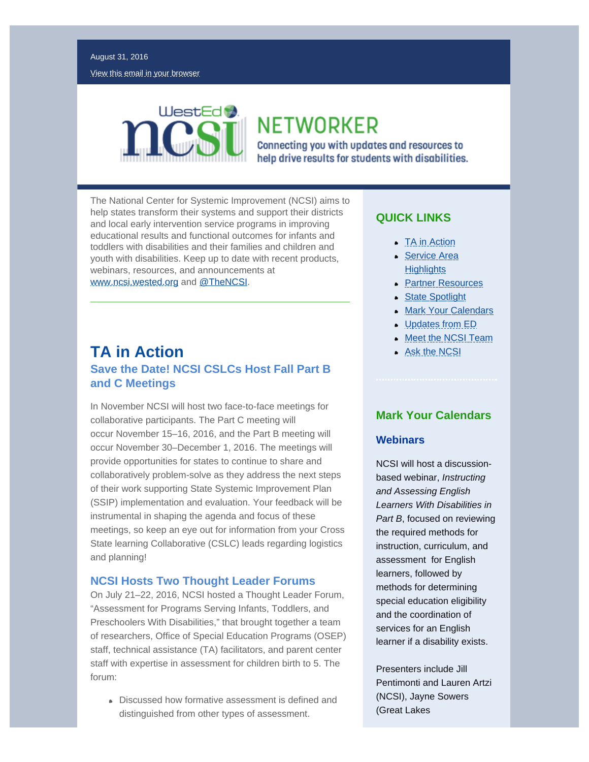

**NETWORKER** 

Connecting you with updates and resources to help drive results for students with disabilities.

The National Center for Systemic Improvement (NCSI) aims to help states transform their systems and support their districts and local early intervention service programs in improving educational results and functional outcomes for infants and toddlers with disabilities and their families and children and youth with disabilities. Keep up to date with recent products, webinars, resources, and announcements at [www.ncsi.wested.org](http://ncsi.wested.org/) and [@TheNCSI](https://twitter.com/TheNCSI).

## <span id="page-0-0"></span>**TA in Action Save the Date! NCSI CSLCs Host Fall Part B and C Meetings**

<span id="page-0-1"></span>In November NCSI will host two face-to-face meetings for collaborative participants. The Part C meeting will occur November 15–16, 2016, and the Part B meeting will occur November 30–December 1, 2016. The meetings will provide opportunities for states to continue to share and collaboratively problem-solve as they address the next steps of their work supporting State Systemic Improvement Plan (SSIP) implementation and evaluation. Your feedback will be instrumental in shaping the agenda and focus of these meetings, so keep an eye out for information from your Cross State learning Collaborative (CSLC) leads regarding logistics and planning!

### **NCSI Hosts Two Thought Leader Forums**

On July 21–22, 2016, NCSI hosted a Thought Leader Forum, "Assessment for Programs Serving Infants, Toddlers, and Preschoolers With Disabilities," that brought together a team of researchers, Office of Special Education Programs (OSEP) staff, technical assistance (TA) facilitators, and parent center staff with expertise in assessment for children birth to 5. The forum:

Discussed how formative assessment is defined and distinguished from other types of assessment.

## **QUICK LINKS**

- [TA in Action](#page-0-0)
- [Service Area](#page-3-0) **[Highlights](#page-3-0)**
- **[Partner Resources](#page-4-0)**
- [State Spotlight](#page-5-0)
- **[Mark Your Calendars](#page-0-1)**
- [Updates from ED](#page-2-0)
- **[Meet the NCSI Team](#page-3-1)**
- **[Ask the NCSI](#page-5-1)**

### **Mark Your Calendars**

### **Webinars**

NCSI will host a discussionbased webinar, *Instructing and Assessing English Learners With Disabilities in Part B*, focused on reviewing the required methods for instruction, curriculum, and assessment for English learners, followed by methods for determining special education eligibility and the coordination of services for an English learner if a disability exists.

Presenters include Jill Pentimonti and Lauren Artzi (NCSI), Jayne Sowers (Great Lakes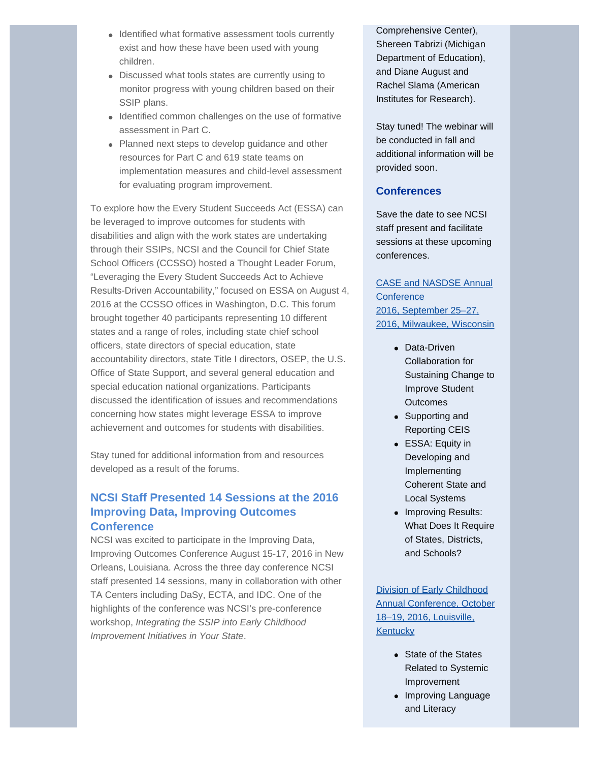- Identified what formative assessment tools currently exist and how these have been used with young children.
- Discussed what tools states are currently using to monitor progress with young children based on their SSIP plans.
- Identified common challenges on the use of formative assessment in Part C.
- Planned next steps to develop guidance and other resources for Part C and 619 state teams on implementation measures and child-level assessment for evaluating program improvement.

To explore how the Every Student Succeeds Act (ESSA) can be leveraged to improve outcomes for students with disabilities and align with the work states are undertaking through their SSIPs, NCSI and the Council for Chief State School Officers (CCSSO) hosted a Thought Leader Forum, "Leveraging the Every Student Succeeds Act to Achieve Results-Driven Accountability," focused on ESSA on August 4, 2016 at the CCSSO offices in Washington, D.C. This forum brought together 40 participants representing 10 different states and a range of roles, including state chief school officers, state directors of special education, state accountability directors, state Title I directors, OSEP, the U.S. Office of State Support, and several general education and special education national organizations. Participants discussed the identification of issues and recommendations concerning how states might leverage ESSA to improve achievement and outcomes for students with disabilities.

Stay tuned for additional information from and resources developed as a result of the forums.

### **NCSI Staff Presented 14 Sessions at the 2016 Improving Data, Improving Outcomes Conference**

NCSI was excited to participate in the Improving Data, Improving Outcomes Conference August 15-17, 2016 in New Orleans, Louisiana. Across the three day conference NCSI staff presented 14 sessions, many in collaboration with other TA Centers including DaSy, ECTA, and IDC. One of the highlights of the conference was NCSI's pre-conference workshop, *Integrating the SSIP into Early Childhood Improvement Initiatives in Your State*.

Comprehensive Center), Shereen Tabrizi (Michigan Department of Education), and Diane August and Rachel Slama (American Institutes for Research).

Stay tuned! The webinar will be conducted in fall and additional information will be provided soon.

### **Conferences**

Save the date to see NCSI staff present and facilitate sessions at these upcoming conferences.

[CASE and NASDSE Annual](http://nasdse.org/) **[Conference](http://nasdse.org/)** 2016, [September 25–27,](http://nasdse.org/) [2016, Milwaukee, Wisconsin](http://nasdse.org/)

- Data-Driven Collaboration for Sustaining Change to Improve Student **Outcomes**
- Supporting and Reporting CEIS
- ESSA: Equity in Developing and Implementing Coherent State and Local Systems
- Improving Results: What Does It Require of States, Districts, and Schools?

[Division of Early Childhood](http://www.decconference.org/) [Annual Conference,](http://www.decconference.org/) October [18–19, 2016, Louisville,](http://www.decconference.org/) **[Kentucky](http://www.decconference.org/)** 

- State of the States Related to Systemic Improvement
- Improving Language and Literacy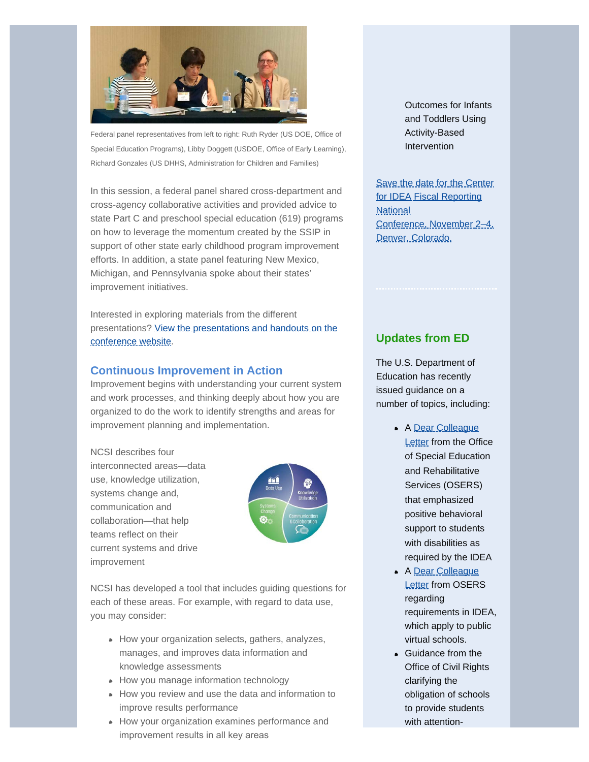

Federal panel representatives from left to right: Ruth Ryder (US DOE, Office of Special Education Programs), Libby Doggett (USDOE, Office of Early Learning), Richard Gonzales (US DHHS, Administration for Children and Families)

In this session, a federal panel shared cross-department and cross-agency collaborative activities and provided advice to state Part C and preschool special education (619) programs on how to leverage the momentum created by the SSIP in support of other state early childhood program improvement efforts. In addition, a state panel featuring New Mexico, Michigan, and Pennsylvania spoke about their states' improvement initiatives.

<span id="page-2-0"></span>Interested in exploring materials from the different presentations? [View the presentations and handouts on the](http://ectacenter.org/%7Emeetings/ecidea16/mtgagenda.asp) [conference website](http://ectacenter.org/%7Emeetings/ecidea16/mtgagenda.asp).

### **Continuous Improvement in Action**

Improvement begins with understanding your current system and work processes, and thinking deeply about how you are organized to do the work to identify strengths and areas for improvement planning and implementation.

NCSI describes four interconnected areas—data use, knowledge utilization, systems change and, communication and collaboration—that help teams reflect on their current systems and drive improvement



NCSI has developed a tool that includes guiding questions for each of these areas. For example, with regard to data use, you may consider:

- How your organization selects, gathers, analyzes, manages, and improves data information and knowledge assessments
- How you manage information technology
- How you review and use the data and information to improve results performance
- How your organization examines performance and improvement results in all key areas

Outcomes for Infants and Toddlers Using Activity-Based Intervention

[Save the date for the Center](http://cifr.wested.org/registration-now-open-for-idea-fiscal-forum-november-2-4-2016-in-denver-co/) [for IDEA Fiscal Reporting](http://cifr.wested.org/registration-now-open-for-idea-fiscal-forum-november-2-4-2016-in-denver-co/) **[National](http://cifr.wested.org/registration-now-open-for-idea-fiscal-forum-november-2-4-2016-in-denver-co/)** Conference, [November 2–4,](http://cifr.wested.org/registration-now-open-for-idea-fiscal-forum-november-2-4-2016-in-denver-co/) [Denver, Colorado.](http://cifr.wested.org/registration-now-open-for-idea-fiscal-forum-november-2-4-2016-in-denver-co/)

### **Updates from ED**

The U.S. Department of Education has recently issued guidance on a number of topics, including:

- A [Dear Colleague](http://www2.ed.gov/policy/gen/guid/school-discipline/files/dcl-on-pbis-in-ieps--08-01-2016.pdf) **[Letter](http://www2.ed.gov/policy/gen/guid/school-discipline/files/dcl-on-pbis-in-ieps--08-01-2016.pdf)** from the Office of Special Education and Rehabilitative Services (OSERS) that emphasized positive behavioral support to students with disabilities as required by the IDEA
- A [Dear Colleague](http://www2.ed.gov/policy/speced/guid/idea/memosdcltrs/dcl--virtual-schools--08-05-2016.pdf) **[Letter](http://www2.ed.gov/policy/speced/guid/idea/memosdcltrs/dcl--virtual-schools--08-05-2016.pdf) from OSERS** regarding requirements in IDEA, which apply to public virtual schools.
- **Guidance from the** Office of Civil Rights clarifying the obligation of schools to provide students with attention-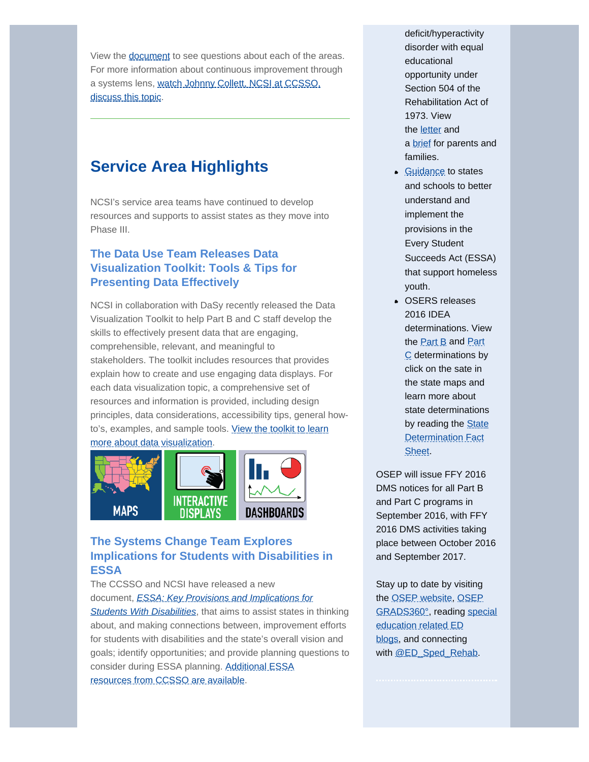View the **[document](http://ncsi.wested.org/wp-content/uploads/2016/08/NCSI-Conceptual-Framework-for-Continuous-Improvement.pdf)** to see questions about each of the areas. For more information about continuous improvement through a systems lens, [watch Johnny Collett, NCSI at CCSSO,](https://vimeo.com/156740267) [discuss this topic.](https://vimeo.com/156740267)

# <span id="page-3-0"></span>**Service Area Highlights**

NCSI's service area teams have continued to develop resources and supports to assist states as they move into Phase III.

## **The Data Use Team Releases Data Visualization Toolkit: Tools & Tips for Presenting Data Effectively**

NCSI in collaboration with DaSy recently released the Data Visualization Toolkit to help Part B and C staff develop the skills to effectively present data that are engaging, comprehensible, relevant, and meaningful to stakeholders. The toolkit includes resources that provides explain how to create and use engaging data displays. For each data visualization topic, a comprehensive set of resources and information is provided, including design principles, data considerations, accessibility tips, general how-to's, examples, and sample tools. [View the toolkit to learn](http://dasycenter.org/data-visualization-toolkit/) [more about data visualization.](http://dasycenter.org/data-visualization-toolkit/)



## **The Systems Change Team Explores Implications for Students with Disabilities in ESSA**

<span id="page-3-1"></span>The CCSSO and NCSI have released a new document, *[ESSA: Key Provisions and Implications for](http://www.ccsso.org/Documents/2016/ESSA/ESSA_Key_Provisions_Implications_for_SWD.pdf) [Students With Disabilities](http://www.ccsso.org/Documents/2016/ESSA/ESSA_Key_Provisions_Implications_for_SWD.pdf)*, that aims to assist states in thinking about, and making connections between, improvement efforts for students with disabilities and the state's overall vision and goals; identify opportunities; and provide planning questions to consider during ESSA planning. [Additional ESSA](http://www.ccsso.org/Resources/Programs/Every_Student_Succeeds_Act.html) resources [from CCSSO are available](http://www.ccsso.org/Resources/Programs/Every_Student_Succeeds_Act.html).

deficit/hyperactivity disorder with equal educational opportunity under Section 504 of the Rehabilitation Act of 1973. View the [letter](http://www2.ed.gov/about/offices/list/ocr/letters/colleague-201607-504-adhd.pdf) and a **[brief](http://www2.ed.gov/about/offices/list/ocr/docs/dcl-know-rights-201607-504.pdf)** for parents and families.

- **[Guidance](http://www2.ed.gov/policy/elsec/leg/essa/index.html) to states** and schools to better understand and implement the provisions in the Every Student Succeeds Act (ESSA) that support homeless youth.
- OSERS releases 2016 IDEA determinations. View the **[Part B](https://osep.grads360.org/#program/idea-part-b-profiles)** and **[Part](https://osep.grads360.org/#program/idea-part-c-profiles)** [C](https://osep.grads360.org/#program/idea-part-c-profiles) determinations by click on the sate in the state maps and learn more about state determinations by reading the **[State](http://www2.ed.gov/fund/data/report/idea/ideafactsheet-determinations-2016.pdf)** [Determination Fact](http://www2.ed.gov/fund/data/report/idea/ideafactsheet-determinations-2016.pdf) [Sheet](http://www2.ed.gov/fund/data/report/idea/ideafactsheet-determinations-2016.pdf).

OSEP will issue FFY 2016 DMS notices for all Part B and Part C programs in September 2016, with FFY 2016 DMS activities taking place between October 2016 and September 2017.

Stay up to date by visiting the [OSEP website](http://www2.ed.gov/about/offices/list/osers/osep/index.html), [OSEP](https://osep.grads360.org/#program) [GRADS360°,](https://osep.grads360.org/#program) reading [special](http://sites.ed.gov/osers/) [education related ED](http://sites.ed.gov/osers/) [blogs](http://sites.ed.gov/osers/), and connecting with [@ED\\_Sped\\_Rehab.](https://twitter.com/ED_Sped_Rehab)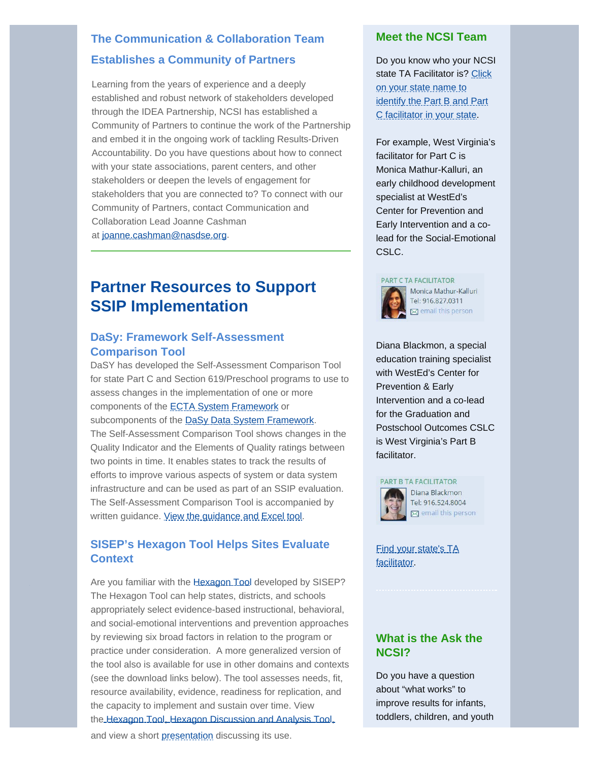## **Establishes a Community of Partners The Communication & Collaboration Team**

Learning from the years of experience and a deeply established and robust network of stakeholders developed through the IDEA Partnership, NCSI has established a Community of Partners to continue the work of the Partnership and embed it in the ongoing work of tackling Results-Driven Accountability. Do you have questions about how to connect with your state associations, parent centers, and other stakeholders or deepen the levels of engagement for stakeholders that you are connected to? To connect with our Community of Partners, contact Communication and Collaboration Lead Joanne Cashman at joanne.cashman@nasdse.org.

# <span id="page-4-0"></span>**Partner Resources to Support SSIP Implementation**

### **DaSy: Framework Self-Assessment Comparison Tool**

DaSY has developed the Self-Assessment Comparison Tool for state Part C and Section 619/Preschool programs to use to assess changes in the implementation of one or more components of the **[ECTA System Framework](http://ectacenter.org/sysframe/)** or subcomponents of the [DaSy Data System Framework](http://dasycenter.org/resources/dasy-framework/). The Self-Assessment Comparison Tool shows changes in the Quality Indicator and the Elements of Quality ratings between two points in time. It enables states to track the results of efforts to improve various aspects of system or data system infrastructure and can be used as part of an SSIP evaluation. The Self-Assessment Comparison Tool is accompanied by written guidance. [View the guidance and Excel tool](http://dasycenter.org/self-assessment-comparison-tool/).

## **SISEP's Hexagon Tool Helps Sites Evaluate Context**

Are you familiar with the [Hexagon Tool](http://implementation.fpg.unc.edu/sites/implementation.fpg.unc.edu/files/resources/NIRN-Education-TheHexagonTool.pdf) developed by SISEP? The Hexagon Tool can help states, districts, and schools appropriately select evidence-based instructional, behavioral, and social-emotional interventions and prevention approaches by reviewing six broad factors in relation to the program or practice under consideration. A more generalized version of the tool also is available for use in other domains and contexts (see the download links below). The tool assesses needs, fit, resource availability, evidence, readiness for replication, and the capacity to implement and sustain over time. View the [Hexagon Tool](http://implementation.fpg.unc.edu/sites/implementation.fpg.unc.edu/files/resources/NIRN-Education-TheHexagonTool.pdf), [Hexagon Discussion and Analysis Tool](http://implementation.fpg.unc.edu/sites/implementation.fpg.unc.edu/files/NIRN-Education-TheHexagonDiscussionCaptureTool.pdf),

### **Meet the NCSI Team**

Do you know who your NCSI state TA Facilitator is? [Click](https://ncsi-resources.wested.org/) [on your state name to](https://ncsi-resources.wested.org/) [identify the Part B and Part](https://ncsi-resources.wested.org/) [C facilitator in your state](https://ncsi-resources.wested.org/).

For example, West Virginia's facilitator for Part C is Monica Mathur-Kalluri, an early childhood development specialist at WestEd's Center for Prevention and Early Intervention and a colead for the Social-Emotional CSLC.

#### PART C TA FACILITATOR



Diana Blackmon, a special education training specialist with WestEd's Center for Prevention & Early Intervention and a co-lead for the Graduation and Postschool Outcomes CSLC is West Virginia's Part B facilitator.



Diana Blackmon Tel: 916.524.8004  $\boxtimes$  email this person

[Find your state's TA](https://ncsi-resources.wested.org/) [facilitator](https://ncsi-resources.wested.org/).

## **What is the Ask the NCSI?**

Do you have a question about "what works" to improve results for infants, toddlers, children, and youth

and view a short presentation discussing its use.